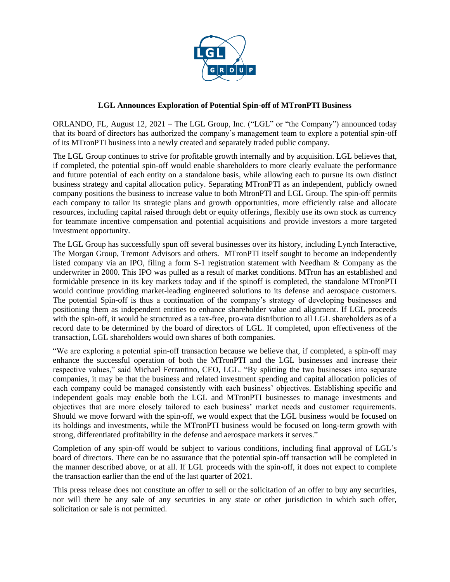

## **LGL Announces Exploration of Potential Spin-off of MTronPTI Business**

ORLANDO, FL, August 12, 2021 – The LGL Group, Inc. ("LGL" or "the Company") announced today that its board of directors has authorized the company's management team to explore a potential spin-off of its MTronPTI business into a newly created and separately traded public company.

The LGL Group continues to strive for profitable growth internally and by acquisition. LGL believes that, if completed, the potential spin-off would enable shareholders to more clearly evaluate the performance and future potential of each entity on a standalone basis, while allowing each to pursue its own distinct business strategy and capital allocation policy. Separating MTronPTI as an independent, publicly owned company positions the business to increase value to both MtronPTI and LGL Group. The spin-off permits each company to tailor its strategic plans and growth opportunities, more efficiently raise and allocate resources, including capital raised through debt or equity offerings, flexibly use its own stock as currency for teammate incentive compensation and potential acquisitions and provide investors a more targeted investment opportunity.

The LGL Group has successfully spun off several businesses over its history, including Lynch Interactive, The Morgan Group, Tremont Advisors and others. MTronPTI itself sought to become an independently listed company via an IPO, filing a form S-1 registration statement with Needham & Company as the underwriter in 2000. This IPO was pulled as a result of market conditions. MTron has an established and formidable presence in its key markets today and if the spinoff is completed, the standalone MTronPTI would continue providing market-leading engineered solutions to its defense and aerospace customers. The potential Spin-off is thus a continuation of the company's strategy of developing businesses and positioning them as independent entities to enhance shareholder value and alignment. If LGL proceeds with the spin-off, it would be structured as a tax-free, pro-rata distribution to all LGL shareholders as of a record date to be determined by the board of directors of LGL. If completed, upon effectiveness of the transaction, LGL shareholders would own shares of both companies.

"We are exploring a potential spin-off transaction because we believe that, if completed, a spin-off may enhance the successful operation of both the MTronPTI and the LGL businesses and increase their respective values," said Michael Ferrantino, CEO, LGL. "By splitting the two businesses into separate companies, it may be that the business and related investment spending and capital allocation policies of each company could be managed consistently with each business' objectives. Establishing specific and independent goals may enable both the LGL and MTronPTI businesses to manage investments and objectives that are more closely tailored to each business' market needs and customer requirements. Should we move forward with the spin-off, we would expect that the LGL business would be focused on its holdings and investments, while the MTronPTI business would be focused on long-term growth with strong, differentiated profitability in the defense and aerospace markets it serves."

Completion of any spin-off would be subject to various conditions, including final approval of LGL's board of directors. There can be no assurance that the potential spin-off transaction will be completed in the manner described above, or at all. If LGL proceeds with the spin-off, it does not expect to complete the transaction earlier than the end of the last quarter of 2021.

This press release does not constitute an offer to sell or the solicitation of an offer to buy any securities, nor will there be any sale of any securities in any state or other jurisdiction in which such offer, solicitation or sale is not permitted.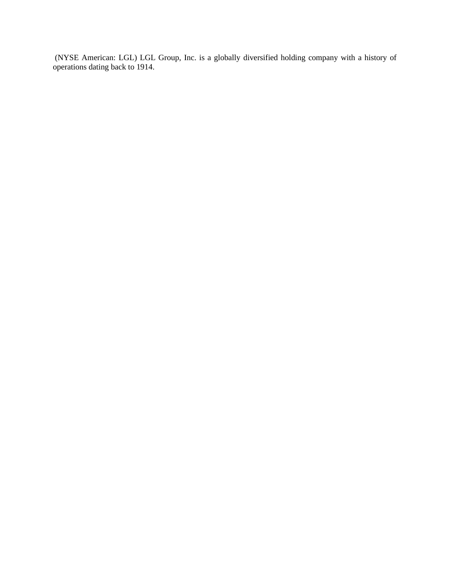(NYSE American: LGL) LGL Group, Inc. is a globally diversified holding company with a history of operations dating back to 1914.